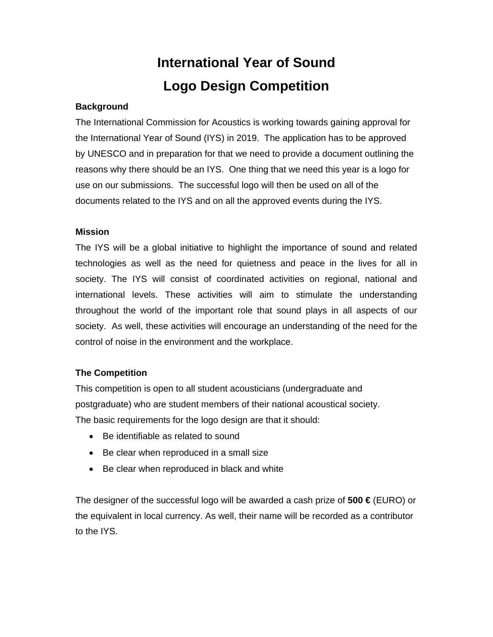# **International Year of Sound Logo Design Competition**

#### **Background**

The International Commission for Acoustics is working towards gaining approval for the International Year of Sound (IYS) in 2019. The application has to be approved by UNESCO and in preparation for that we need to provide a document outlining the reasons why there should be an IYS. One thing that we need this year is a logo for use on our submissions. The successful logo will then be used on all of the documents related to the IYS and on all the approved events during the IYS.

#### **Mission**

The IYS will be a global initiative to highlight the importance of sound and related technologies as well as the need for quietness and peace in the lives for all in society. The IYS will consist of coordinated activities on regional, national and international levels. These activities will aim to stimulate the understanding throughout the world of the important role that sound plays in all aspects of our society. As well, these activities will encourage an understanding of the need for the control of noise in the environment and the workplace.

#### **The Competition**

This competition is open to all student acousticians (undergraduate and postgraduate) who are student members of their national acoustical society. The basic requirements for the logo design are that it should:

- Be identifiable as related to sound
- Be clear when reproduced in a small size
- Be clear when reproduced in black and white

The designer of the successful logo will be awarded a cash prize of **500 €** (EURO) or the equivalent in local currency. As well, their name will be recorded as a contributor to the IYS.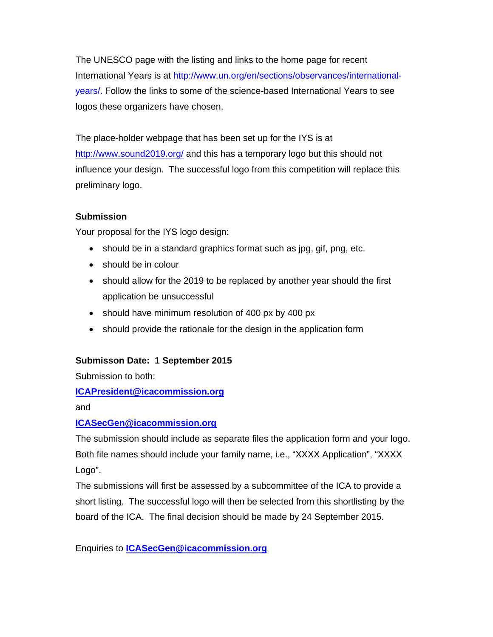The UNESCO page with the listing and links to the home page for recent International Years is at http://www.un.org/en/sections/observances/internationalyears/. Follow the links to some of the science-based International Years to see logos these organizers have chosen.

The place-holder webpage that has been set up for the IYS is at http://www.sound2019.org/ and this has a temporary logo but this should not influence your design. The successful logo from this competition will replace this preliminary logo.

#### **Submission**

Your proposal for the IYS logo design:

- should be in a standard graphics format such as jpg, gif, png, etc.
- should be in colour
- should allow for the 2019 to be replaced by another year should the first application be unsuccessful
- should have minimum resolution of 400 px by 400 px
- should provide the rationale for the design in the application form

#### **Submisson Date: 1 September 2015**

Submission to both:

#### **ICAPresident@icacommission.org**

and

#### **ICASecGen@icacommission.org**

The submission should include as separate files the application form and your logo. Both file names should include your family name, i.e., "XXXX Application", "XXXX Logo".

The submissions will first be assessed by a subcommittee of the ICA to provide a short listing. The successful logo will then be selected from this shortlisting by the board of the ICA. The final decision should be made by 24 September 2015.

Enquiries to **ICASecGen@icacommission.org**